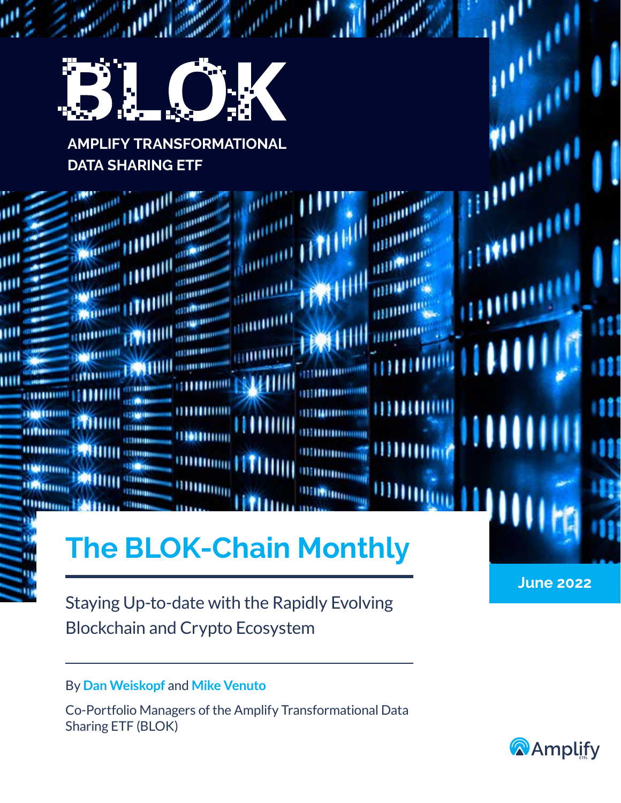

# **AMPLIFY TRANSFORMATIONAL DATA SHARING ETF**

| π×<br>шU<br>щU<br>ш<br>ш<br>ш<br>Ш | <b>COMMERCIALISTIC</b><br><b>The Council Head of Allie Council</b><br><b>Common HAMILIA</b><br><b>Children (TITIIII)</b><br><b>HUILLE</b> | <b>UNITED</b> | <b>THE REPORT OF</b><br><b>THEFFIND</b> | <b>Summary Little</b><br><b>GROUNDELL</b><br><b>HIMMIND</b><br><b>GOURGERY</b> | TENTHILL MINNING                                                                                       | <b>Anumitive LETTERIN unimmers</b> | WILLIAM          | Ш |
|------------------------------------|-------------------------------------------------------------------------------------------------------------------------------------------|---------------|-----------------------------------------|--------------------------------------------------------------------------------|--------------------------------------------------------------------------------------------------------|------------------------------------|------------------|---|
| Ξ.<br>W                            |                                                                                                                                           |               |                                         |                                                                                | <b>ORTHURISM</b><br><b>THERMORAT</b><br><b>THEFFICIAL COMMUNISTIC</b><br><b>The BLOK-Chain Monthly</b> |                                    | <b>June 2022</b> |   |

Staying Up-to-date with the Rapidly Evolving Blockchain and Crypto Ecosystem

## By **Dan Weiskopf** and **Mike Venuto**

Co-Portfolio Managers of the Amplify Transformational Data Sharing ETF (BLOK)

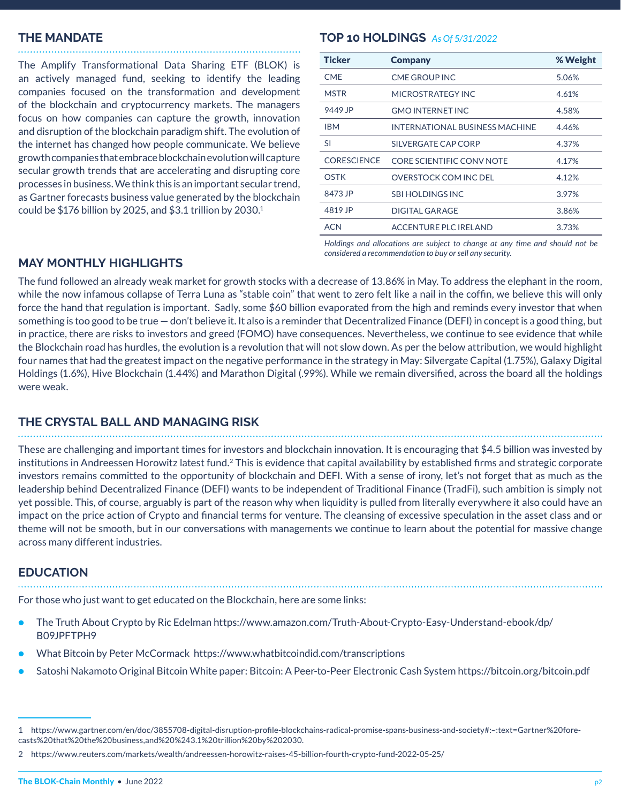#### **THE MANDATE**

The Amplify Transformational Data Sharing ETF (BLOK) is an actively managed fund, seeking to identify the leading companies focused on the transformation and development of the blockchain and cryptocurrency markets. The managers focus on how companies can capture the growth, innovation and disruption of the blockchain paradigm shift. The evolution of the internet has changed how people communicate. We believe growth companies that embrace blockchain evolution will capture secular growth trends that are accelerating and disrupting core processes in business. We think this is an important secular trend, as Gartner forecasts business value generated by the blockchain could be  $$176$  billion by 2025, and  $$3.1$  trillion by 2030.<sup>1</sup>

#### **TOP 10 HOLDINGS** *As Of 5/31/2022*

| <b>Ticker</b>      | <b>Company</b>                        | % Weight |
|--------------------|---------------------------------------|----------|
| <b>CMF</b>         | <b>CME GROUP INC</b>                  | 5.06%    |
| <b>MSTR</b>        | MICROSTRATEGY INC                     | 4.61%    |
| 9449 JP            | <b>GMO INTERNET INC.</b>              | 4.58%    |
| <b>IBM</b>         | <b>INTERNATIONAL BUSINESS MACHINE</b> | 4.46%    |
| SI                 | SILVERGATE CAP CORP                   | 4.37%    |
| <b>CORESCIENCE</b> | <b>CORE SCIENTIFIC CONV NOTE</b>      | 4.17%    |
| <b>OSTK</b>        | OVERSTOCK COM INC DEL                 | 4.12%    |
| 8473 JP            | SBI HOLDINGS INC.                     | 3.97%    |
| 4819 JP            | DIGITAL GARAGE                        | 3.86%    |
| ACN                | <b>ACCENTURE PLC IRELAND</b>          | 3.73%    |

*Holdings and allocations are subject to change at any time and should not be considered a recommendation to buy or sell any security.*

#### **MAY MONTHLY HIGHLIGHTS**

The fund followed an already weak market for growth stocks with a decrease of 13.86% in May. To address the elephant in the room, while the now infamous collapse of Terra Luna as "stable coin" that went to zero felt like a nail in the coffin, we believe this will only force the hand that regulation is important. Sadly, some \$60 billion evaporated from the high and reminds every investor that when something is too good to be true — don't believe it. It also is a reminder that Decentralized Finance (DEFI) in concept is a good thing, but in practice, there are risks to investors and greed (FOMO) have consequences. Nevertheless, we continue to see evidence that while the Blockchain road has hurdles, the evolution is a revolution that will not slow down. As per the below attribution, we would highlight four names that had the greatest impact on the negative performance in the strategy in May: Silvergate Capital (1.75%), Galaxy Digital Holdings (1.6%), Hive Blockchain (1.44%) and Marathon Digital (.99%). While we remain diversified, across the board all the holdings were weak.

#### **THE CRYSTAL BALL AND MANAGING RISK**

These are challenging and important times for investors and blockchain innovation. It is encouraging that \$4.5 billion was invested by institutions in Andreessen Horowitz latest fund.<sup>2</sup> This is evidence that capital availability by established firms and strategic corporate investors remains committed to the opportunity of blockchain and DEFI. With a sense of irony, let's not forget that as much as the leadership behind Decentralized Finance (DEFI) wants to be independent of Traditional Finance (TradFi), such ambition is simply not yet possible. This, of course, arguably is part of the reason why when liquidity is pulled from literally everywhere it also could have an impact on the price action of Crypto and financial terms for venture. The cleansing of excessive speculation in the asset class and or theme will not be smooth, but in our conversations with managements we continue to learn about the potential for massive change across many different industries.

#### **EDUCATION**

For those who just want to get educated on the Blockchain, here are some links:

- The Truth About Crypto by Ric Edelman https://www.amazon.com/Truth-About-Crypto-Easy-Understand-ebook/dp/ B09JPFTPH9
- What Bitcoin by Peter McCormack https://www.whatbitcoindid.com/transcriptions
- Satoshi Nakamoto Original Bitcoin White paper: Bitcoin: A Peer-to-Peer Electronic Cash System https://bitcoin.org/bitcoin.pdf

<sup>1</sup> https://www.gartner.com/en/doc/3855708-digital-disruption-profile-blockchains-radical-promise-spans-business-and-society#:~:text=Gartner%20forecasts%20that%20the%20business,and%20%243.1%20trillion%20by%202030.

<sup>2</sup> https://www.reuters.com/markets/wealth/andreessen-horowitz-raises-45-billion-fourth-crypto-fund-2022-05-25/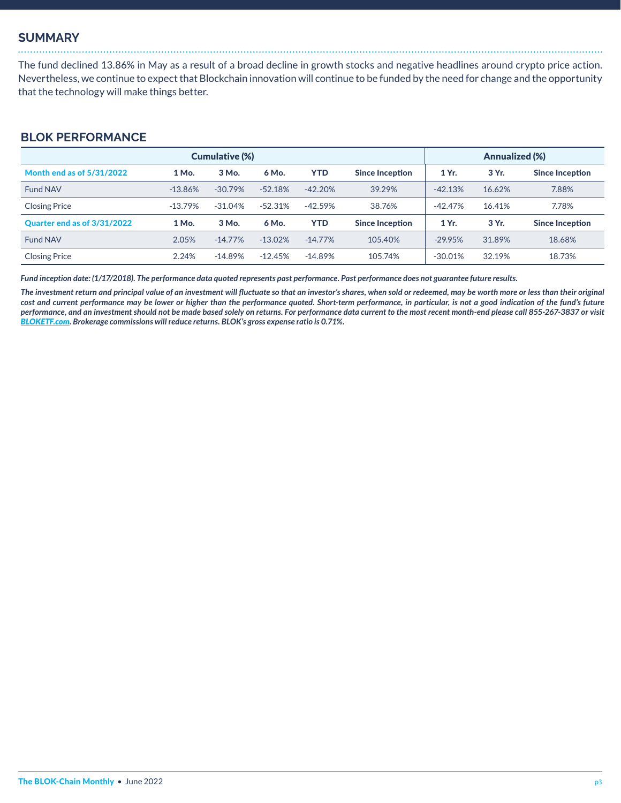#### **SUMMARY**

The fund declined 13.86% in May as a result of a broad decline in growth stocks and negative headlines around crypto price action. Nevertheless, we continue to expect that Blockchain innovation will continue to be funded by the need for change and the opportunity that the technology will make things better.

### **BLOK PERFORMANCE**

| <b>Cumulative (%)</b>       |           |           |            |            |                        |           | <b>Annualized (%)</b> |                        |  |
|-----------------------------|-----------|-----------|------------|------------|------------------------|-----------|-----------------------|------------------------|--|
| Month end as of 5/31/2022   | 1 Mo.     | 3 Mo.     | 6 Mo.      | <b>YTD</b> | <b>Since Inception</b> | 1 Yr.     | 3 Yr.                 | <b>Since Inception</b> |  |
| Fund NAV                    | $-13.86%$ | $-30.79%$ | $-52.18%$  | $-42.20%$  | 39.29%                 | $-42.13%$ | 16.62%                | 7.88%                  |  |
| <b>Closing Price</b>        | $-13.79%$ | $-31.04%$ | $-52.31%$  | $-42.59%$  | 38.76%                 | $-42.47%$ | 16.41%                | 7.78%                  |  |
| Quarter end as of 3/31/2022 | 1 Mo.     | 3 Mo.     | 6 Mo.      | YTD        | Since Inception        | 1 Yr.     | 3 Yr.                 | <b>Since Inception</b> |  |
| Fund NAV                    | 2.05%     | $-14.77%$ | $-13.02%$  | $-14.77\%$ | 105.40%                | $-29.95%$ | 31.89%                | 18.68%                 |  |
| <b>Closing Price</b>        | 2.24%     | $-14.89%$ | $-12.45\%$ | $-14.89%$  | 105.74%                | $-30.01%$ | 32.19%                | 18.73%                 |  |

*Fund inception date: (1/17/2018). The performance data quoted represents past performance. Past performance does not guarantee future results.* 

*The investment return and principal value of an investment will fluctuate so that an investor's shares, when sold or redeemed, may be worth more or less than their original cost and current performance may be lower or higher than the performance quoted. Short-term performance, in particular, is not a good indication of the fund's future performance, and an investment should not be made based solely on returns. For performance data current to the most recent month-end please call 855-267-3837 or visit [BLOKETF.com](https://amplifyetfs.com/blok). Brokerage commissions will reduce returns. BLOK's gross expense ratio is 0.71%.*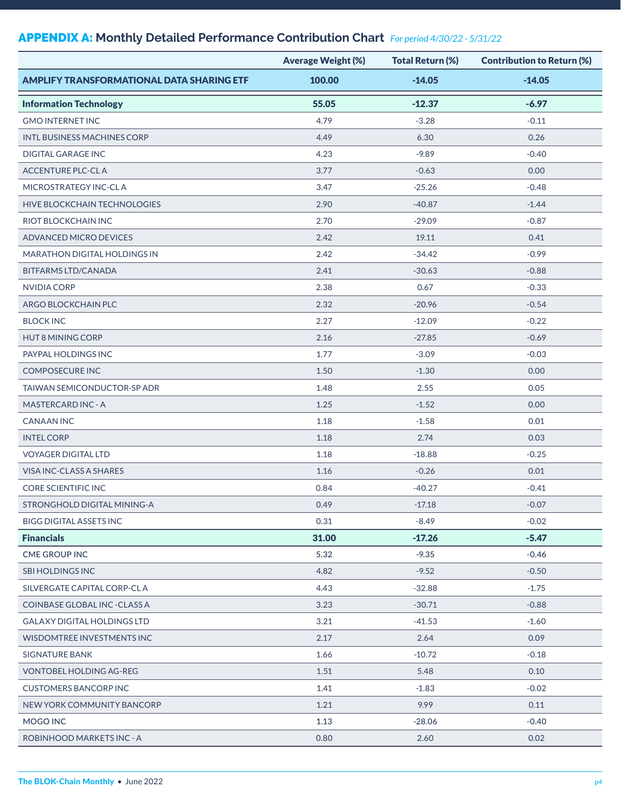## APPENDIX A: **Monthly Detailed Performance Contribution Chart** *For period 4/30/22 - 5/31/22*

|                                                  | <b>Average Weight (%)</b> | <b>Total Return (%)</b> | <b>Contribution to Return (%)</b> |
|--------------------------------------------------|---------------------------|-------------------------|-----------------------------------|
| <b>AMPLIFY TRANSFORMATIONAL DATA SHARING ETF</b> | 100.00                    | $-14.05$                | $-14.05$                          |
| <b>Information Technology</b>                    | 55.05                     | $-12.37$                | $-6.97$                           |
| <b>GMO INTERNET INC</b>                          | 4.79                      | $-3.28$                 | $-0.11$                           |
| INTL BUSINESS MACHINES CORP                      | 4.49                      | 6.30                    | 0.26                              |
| <b>DIGITAL GARAGE INC</b>                        | 4.23                      | $-9.89$                 | $-0.40$                           |
| <b>ACCENTURE PLC-CLA</b>                         | 3.77                      | $-0.63$                 | 0.00                              |
| MICROSTRATEGY INC-CLA                            | 3.47                      | $-25.26$                | $-0.48$                           |
| <b>HIVE BLOCKCHAIN TECHNOLOGIES</b>              | 2.90                      | $-40.87$                | $-1.44$                           |
| RIOT BLOCKCHAIN INC                              | 2.70                      | $-29.09$                | $-0.87$                           |
| ADVANCED MICRO DEVICES                           | 2.42                      | 19.11                   | 0.41                              |
| MARATHON DIGITAL HOLDINGS IN                     | 2.42                      | $-34.42$                | $-0.99$                           |
| <b>BITFARMS LTD/CANADA</b>                       | 2.41                      | $-30.63$                | $-0.88$                           |
| <b>NVIDIA CORP</b>                               | 2.38                      | 0.67                    | $-0.33$                           |
| ARGO BLOCKCHAIN PLC                              | 2.32                      | $-20.96$                | $-0.54$                           |
| <b>BLOCK INC</b>                                 | 2.27                      | $-12.09$                | $-0.22$                           |
| <b>HUT 8 MINING CORP</b>                         | 2.16                      | $-27.85$                | $-0.69$                           |
| PAYPAL HOLDINGS INC                              | 1.77                      | $-3.09$                 | $-0.03$                           |
| <b>COMPOSECURE INC</b>                           | 1.50                      | $-1.30$                 | 0.00                              |
| TAIWAN SEMICONDUCTOR-SP ADR                      | 1.48                      | 2.55                    | 0.05                              |
| <b>MASTERCARD INC - A</b>                        | 1.25                      | $-1.52$                 | 0.00                              |
| <b>CANAAN INC</b>                                | 1.18                      | $-1.58$                 | 0.01                              |
| <b>INTEL CORP</b>                                | 1.18                      | 2.74                    | 0.03                              |
| <b>VOYAGER DIGITAL LTD</b>                       | 1.18                      | $-18.88$                | $-0.25$                           |
| VISA INC-CLASS A SHARES                          | 1.16                      | $-0.26$                 | 0.01                              |
| <b>CORE SCIENTIFIC INC</b>                       | 0.84                      | $-40.27$                | $-0.41$                           |
| STRONGHOLD DIGITAL MINING-A                      | 0.49                      | $-17.18$                | $-0.07$                           |
| <b>BIGG DIGITAL ASSETS INC</b>                   | 0.31                      | $-8.49$                 | $-0.02$                           |
| <b>Financials</b>                                | 31.00                     | $-17.26$                | $-5.47$                           |
| <b>CME GROUP INC</b>                             | 5.32                      | $-9.35$                 | $-0.46$                           |
| <b>SBI HOLDINGS INC</b>                          | 4.82                      | $-9.52$                 | $-0.50$                           |
| SILVERGATE CAPITAL CORP-CLA                      | 4.43                      | $-32.88$                | $-1.75$                           |
| COINBASE GLOBAL INC - CLASS A                    | 3.23                      | $-30.71$                | $-0.88$                           |
| GALAXY DIGITAL HOLDINGS LTD                      | 3.21                      | $-41.53$                | $-1.60$                           |
| WISDOMTREE INVESTMENTS INC                       | 2.17                      | 2.64                    | 0.09                              |
| SIGNATURE BANK                                   | 1.66                      | $-10.72$                | $-0.18$                           |
| VONTOBEL HOLDING AG-REG                          | 1.51                      | 5.48                    | 0.10                              |
| <b>CUSTOMERS BANCORP INC</b>                     | 1.41                      | $-1.83$                 | $-0.02$                           |
| NEW YORK COMMUNITY BANCORP                       | 1.21                      | 9.99                    | 0.11                              |
| MOGO INC                                         | 1.13                      | $-28.06$                | $-0.40$                           |
| ROBINHOOD MARKETS INC - A                        | 0.80                      | 2.60                    | 0.02                              |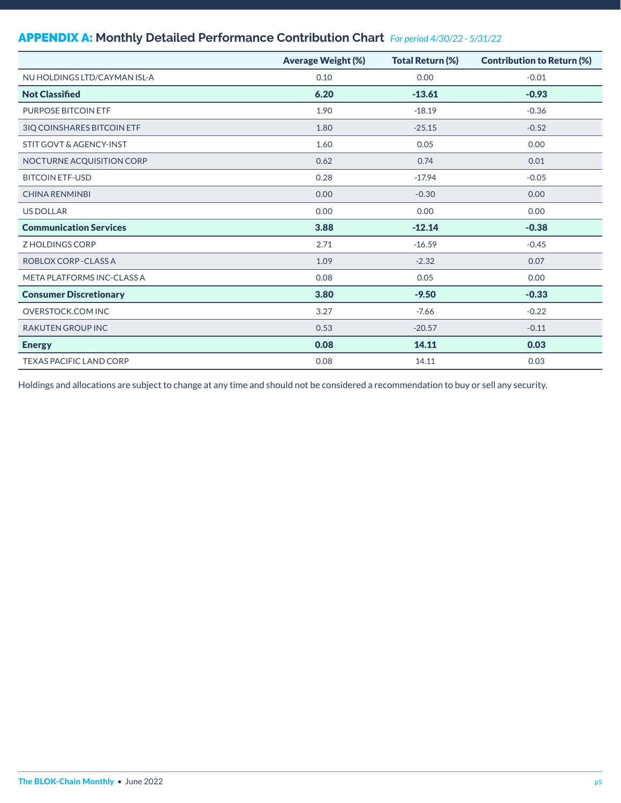## APPENDIX A: **Monthly Detailed Performance Contribution Chart** *For period 4/30/22 - 5/31/22*

|                                    | <b>Average Weight (%)</b> | <b>Total Return (%)</b> | <b>Contribution to Return (%)</b> |
|------------------------------------|---------------------------|-------------------------|-----------------------------------|
| NU HOLDINGS LTD/CAYMAN ISL-A       | 0.10                      | 0.00                    | $-0.01$                           |
| <b>Not Classified</b>              | 6.20                      | $-13.61$                | $-0.93$                           |
| <b>PURPOSE BITCOIN ETF</b>         | 1.90                      | $-18.19$                | $-0.36$                           |
| 3IQ COINSHARES BITCOIN ETF         | 1.80                      | $-25.15$                | $-0.52$                           |
| <b>STIT GOVT &amp; AGENCY-INST</b> | 1.60                      | 0.05                    | 0.00                              |
| NOCTURNE ACQUISITION CORP          | 0.62                      | 0.74                    | 0.01                              |
| <b>BITCOIN ETF-USD</b>             | 0.28                      | $-17.94$                | $-0.05$                           |
| <b>CHINA RENMINBI</b>              | 0.00                      | $-0.30$                 | 0.00                              |
| <b>US DOLLAR</b>                   | 0.00                      | 0.00                    | 0.00                              |
| <b>Communication Services</b>      | 3.88                      | $-12.14$                | $-0.38$                           |
| Z HOLDINGS CORP                    | 2.71                      | $-16.59$                | $-0.45$                           |
| ROBLOX CORP - CLASS A              | 1.09                      | $-2.32$                 | 0.07                              |
| META PLATFORMS INC-CLASS A         | 0.08                      | 0.05                    | 0.00                              |
| <b>Consumer Discretionary</b>      | 3.80                      | $-9.50$                 | $-0.33$                           |
| <b>OVERSTOCK.COM INC</b>           | 3.27                      | $-7.66$                 | $-0.22$                           |
| <b>RAKUTEN GROUP INC</b>           | 0.53                      | $-20.57$                | $-0.11$                           |
| <b>Energy</b>                      | 0.08                      | 14.11                   | 0.03                              |
| <b>TEXAS PACIFIC LAND CORP</b>     | 0.08                      | 14.11                   | 0.03                              |

Holdings and allocations are subject to change at any time and should not be considered a recommendation to buy or sell any security.